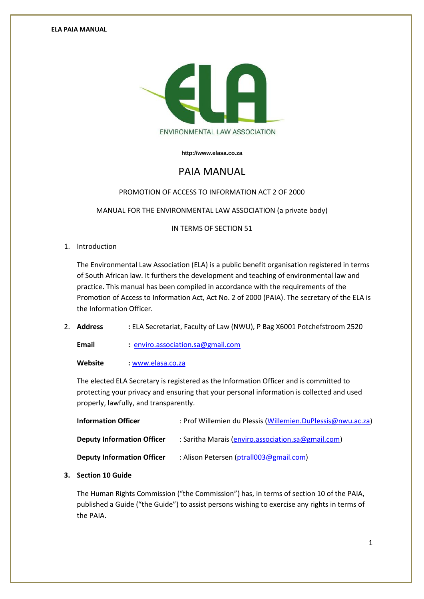

**[http://www.elasa.co.za](http://www.elasa.co.za/)**

# PAIA MANUAL

### PROMOTION OF ACCESS TO INFORMATION ACT 2 OF 2000

MANUAL FOR THE ENVIRONMENTAL LAW ASSOCIATION (a private body)

IN TERMS OF SECTION 51

1. Introduction

The Environmental Law Association (ELA) is a public benefit organisation registered in terms of South African law. It furthers the development and teaching of environmental law and practice. This manual has been compiled in accordance with the requirements of the Promotion of Access to Information Act, Act No. 2 of 2000 (PAIA). The secretary of the ELA is the Information Officer.

2. **Address :** ELA Secretariat, Faculty of Law (NWU), P Bag X6001 Potchefstroom 2520

**Email :** [enviro.association.sa@gmail.com](mailto:enviro.association.sa@gmail.com)

**Website :** [www.elasa.co.za](http://www.elasa.co.za/)

The elected ELA Secretary is registered as the Information Officer and is committed to protecting your privacy and ensuring that your personal information is collected and used properly, lawfully, and transparently.

| <b>Information Officer</b>        | : Prof Willemien du Plessis (Willemien.DuPlessis@nwu.ac.za) |
|-----------------------------------|-------------------------------------------------------------|
| <b>Deputy Information Officer</b> | : Saritha Marais (enviro.association.sa@gmail.com)          |
| <b>Deputy Information Officer</b> | : Alison Petersen (ptrall003@gmail.com)                     |

### **3. Section 10 Guide**

The Human Rights Commission ("the Commission") has, in terms of section 10 of the PAIA, published a Guide ("the Guide") to assist persons wishing to exercise any rights in terms of the PAIA.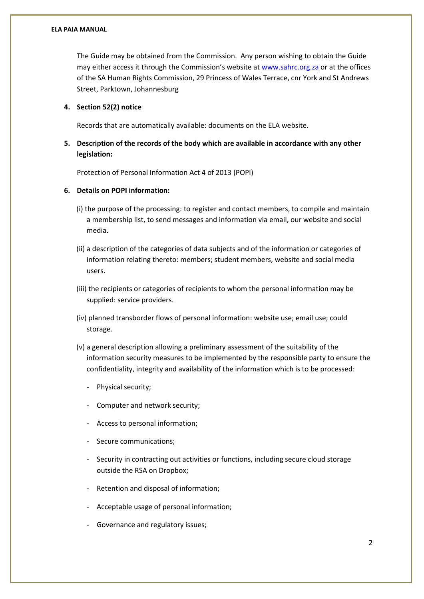#### **ELA PAIA MANUAL**

The Guide may be obtained from the Commission. Any person wishing to obtain the Guide may either access it through the Commission's website at [www.sahrc.org.za](http://www.sahrc.org.za/) or at the offices of the SA Human Rights Commission, 29 Princess of Wales Terrace, cnr York and St Andrews Street, Parktown, Johannesburg

#### **4. Section 52(2) notice**

Records that are automatically available: documents on the ELA website.

## **5. Description of the records of the body which are available in accordance with any other legislation:**

Protection of Personal Information Act 4 of 2013 (POPI)

### **6. Details on POPI information:**

- (i) the purpose of the processing: to register and contact members, to compile and maintain a membership list, to send messages and information via email, our website and social media.
- (ii) a description of the categories of data subjects and of the information or categories of information relating thereto: members; student members, website and social media users.
- (iii) the recipients or categories of recipients to whom the personal information may be supplied: service providers.
- (iv) planned transborder flows of personal information: website use; email use; could storage.
- (v) a general description allowing a preliminary assessment of the suitability of the information security measures to be implemented by the responsible party to ensure the confidentiality, integrity and availability of the information which is to be processed:
	- Physical security:
	- Computer and network security;
	- Access to personal information;
	- Secure communications;
	- Security in contracting out activities or functions, including secure cloud storage outside the RSA on Dropbox;
	- Retention and disposal of information;
	- Acceptable usage of personal information;
	- Governance and regulatory issues;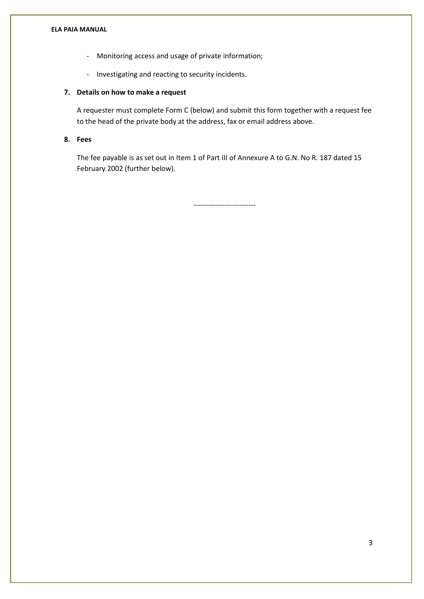#### **ELA PAIA MANUAL**

- Monitoring access and usage of private information;
- Investigating and reacting to security incidents.

### **7. Details on how to make a request**

A requester must complete Form C (below) and submit this form together with a request fee to the head of the private body at the address, fax or email address above.

# **8. Fees**

The fee payable is as set out in Item 1 of Part III of Annexure A to G.N. No R. 187 dated 15 February 2002 (further below).

--------------------------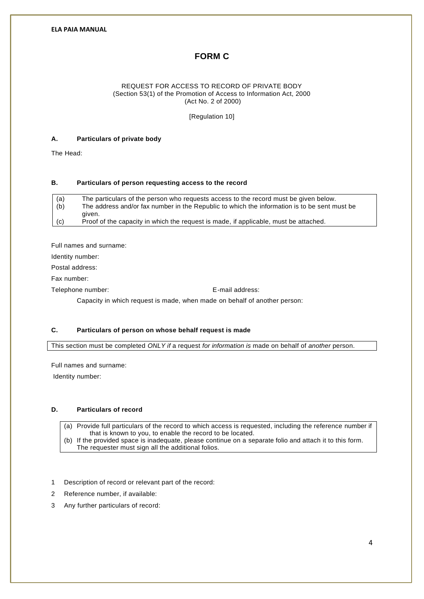# **FORM C**

#### REQUEST FOR ACCESS TO RECORD OF PRIVATE BODY (Section 53(1) of the Promotion of Access to Information Act, 2000 (Act No. 2 of 2000)

[Regulation 10]

#### **A. Particulars of private body**

The Head:

### **B. Particulars of person requesting access to the record**

| (a) | The particulars of the person who requests access to the record must be given below.         |
|-----|----------------------------------------------------------------------------------------------|
| (b) | The address and/or fax number in the Republic to which the information is to be sent must be |
|     | aiven.                                                                                       |
| (c) | Proof of the capacity in which the request is made, if applicable, must be attached.         |

Full names and surname:

Identity number:

Postal address:

Fax number:

Telephone number: E-mail address:

Capacity in which request is made, when made on behalf of another person:

#### **C. Particulars of person on whose behalf request is made**

This section must be completed *ONLY if* a request *for information is* made on behalf of *another* person.

Full names and surname:

Identity number:

#### **D. Particulars of record**

(a) Provide full particulars of the record to which access is requested, including the reference number if that is known to you, to enable the record to be located.

- (b) If the provided space is inadequate, please continue on a separate folio and attach it to this form. The requester must sign all the additional folios.
- 1 Description of record or relevant part of the record:
- 2 Reference number, if available:
- 3 Any further particulars of record: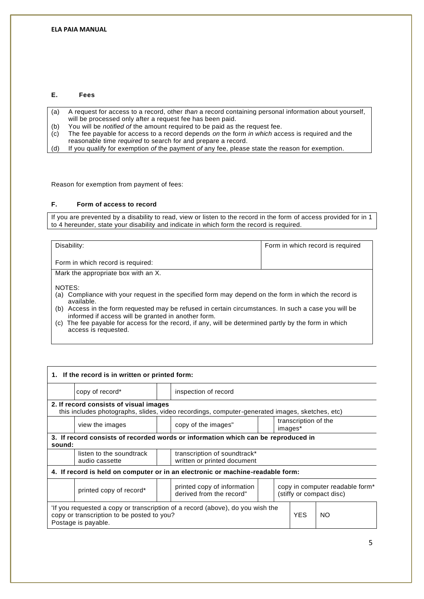#### **E. Fees**

- (a) A request for access to a record, other *than* a record containing personal information about yourself, will be processed only after a request fee has been paid.
- (b) You will be *notified of* the amount required to be paid as the request fee.
- (c) The fee payable for access to a record depends *on* the form *in which* access is required and the reasonable time *required* to search for and prepare a record.
- (d) If you qualify for exemption *of* the payment *of* any fee, please state the reason for exemption.

Reason for exemption from payment of fees:

#### **F. Form of access to record**

If you are prevented by a disability to read, view or listen to the record in the form of access provided for in 1 to 4 hereunder, state your disability and indicate in which form the record is required.

| Disability:                                                                                              | Form in which record is required |  |  |  |  |
|----------------------------------------------------------------------------------------------------------|----------------------------------|--|--|--|--|
|                                                                                                          |                                  |  |  |  |  |
|                                                                                                          |                                  |  |  |  |  |
| Form in which record is required:                                                                        |                                  |  |  |  |  |
|                                                                                                          |                                  |  |  |  |  |
| Mark the appropriate box with an X.                                                                      |                                  |  |  |  |  |
|                                                                                                          |                                  |  |  |  |  |
|                                                                                                          |                                  |  |  |  |  |
| NOTES:                                                                                                   |                                  |  |  |  |  |
| Compliance with your request in the specified form may depend on the form in which the record is<br>(a)  |                                  |  |  |  |  |
| available.                                                                                               |                                  |  |  |  |  |
|                                                                                                          |                                  |  |  |  |  |
| (b) Access in the form requested may be refused in certain circumstances. In such a case you will be     |                                  |  |  |  |  |
| informed if access will be granted in another form.                                                      |                                  |  |  |  |  |
| The fee payable for access for the record, if any, will be determined partly by the form in which<br>(C) |                                  |  |  |  |  |
|                                                                                                          |                                  |  |  |  |  |
| access is requested.                                                                                     |                                  |  |  |  |  |

| 1. If the record is in written or printed form:                                                                                                                               |                                            |  |                                                             |  |  |                                                                         |  |  |
|-------------------------------------------------------------------------------------------------------------------------------------------------------------------------------|--------------------------------------------|--|-------------------------------------------------------------|--|--|-------------------------------------------------------------------------|--|--|
|                                                                                                                                                                               | copy of record*                            |  | inspection of record                                        |  |  |                                                                         |  |  |
| 2. If record consists of visual images<br>this includes photographs, slides, video recordings, computer-generated images, sketches, etc)                                      |                                            |  |                                                             |  |  |                                                                         |  |  |
|                                                                                                                                                                               | view the images                            |  | transcription of the<br>copy of the images"<br>images*      |  |  |                                                                         |  |  |
| 3. If record consists of recorded words or information which can be reproduced in<br>sound:                                                                                   |                                            |  |                                                             |  |  |                                                                         |  |  |
|                                                                                                                                                                               | listen to the soundtrack<br>audio cassette |  | transcription of soundtrack*<br>written or printed document |  |  |                                                                         |  |  |
| 4. If record is held on computer or in an electronic or machine-readable form:                                                                                                |                                            |  |                                                             |  |  |                                                                         |  |  |
|                                                                                                                                                                               | printed copy of record*                    |  | printed copy of information<br>derived from the record"     |  |  | copy in computer readable form <sup>*</sup><br>(stiffy or compact disc) |  |  |
| If you requested a copy or transcription of a record (above), do you wish the<br><b>YES</b><br>copy or transcription to be posted to you?<br><b>NO</b><br>Postage is payable. |                                            |  |                                                             |  |  |                                                                         |  |  |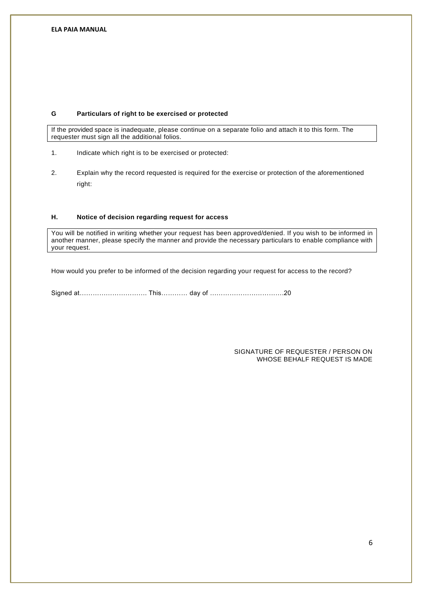#### **G Particulars of right to be exercised or protected**

If the provided space is inadequate, please continue on a separate folio and attach it to this form. The requester must sign all the additional folios.

- 1. Indicate which right is to be exercised or protected:
- 2. Explain why the record requested is required for the exercise or protection of the aforementioned right:

### **H. Notice of decision regarding request for access**

You will be notified in writing whether your request has been approved/denied. If you wish to be informed in another manner, please specify the manner and provide the necessary particulars to enable compliance with your request.

How would you prefer to be informed of the decision regarding your request for access to the record?

Signed at…………………………. This………… day of …………………………….20

#### SIGNATURE OF REQUESTER / PERSON ON WHOSE BEHALF REQUEST IS MADE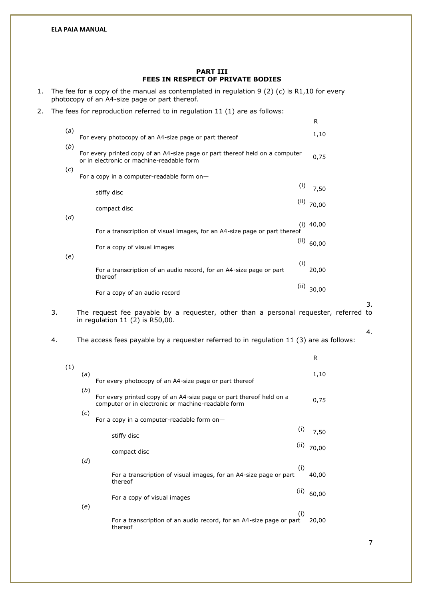#### **PART III FEES IN RESPECT OF PRIVATE BODIES**

- 1. The fee for a copy of the manual as contemplated in regulation 9 (2) (*c*) is R1,10 for every photocopy of an A4-size page or part thereof.
- 2. The fees for reproduction referred to in regulation 11 (1) are as follows:

|     |                                                                                                                           | R           |
|-----|---------------------------------------------------------------------------------------------------------------------------|-------------|
| (a) | For every photocopy of an A4-size page or part thereof                                                                    | 1,10        |
| (b) | For every printed copy of an A4-size page or part thereof held on a computer<br>or in electronic or machine-readable form | 0,75        |
| (c) | For a copy in a computer-readable form on-                                                                                |             |
|     | (i)<br>stiffy disc                                                                                                        | 7,50        |
|     | (ii)<br>compact disc                                                                                                      | 70,00       |
| (d) | For a transcription of visual images, for an A4-size page or part thereof                                                 | $(i)$ 40,00 |
| (e) | (ii)<br>For a copy of visual images                                                                                       | 60,00       |
|     | (i)<br>For a transcription of an audio record, for an A4-size page or part<br>thereof                                     | 20,00       |
|     | (ii)<br>For a copy of an audio record                                                                                     | 30,00       |

3. The request fee payable by a requester, other than a personal requester, referred to in regulation 11 (2) is R50,00.

4. The access fees payable by a requester referred to in regulation 11 (3) are as follows:

|     |     |                                                                                                                           | R     |
|-----|-----|---------------------------------------------------------------------------------------------------------------------------|-------|
| (1) | (a) | For every photocopy of an A4-size page or part thereof                                                                    | 1,10  |
|     | (b) | For every printed copy of an A4-size page or part thereof held on a<br>computer or in electronic or machine-readable form | 0,75  |
|     | (c) | For a copy in a computer-readable form on-                                                                                |       |
|     |     | (i)<br>stiffy disc                                                                                                        | 7,50  |
|     | (d) | (ii)<br>compact disc                                                                                                      | 70,00 |
|     |     | (i)<br>For a transcription of visual images, for an A4-size page or part<br>thereof                                       | 40,00 |
|     |     | (ii)<br>For a copy of visual images                                                                                       | 60,00 |
|     | (e) | (i)<br>For a transcription of an audio record, for an A4-size page or part<br>thereof                                     | 20,00 |

3.

4.